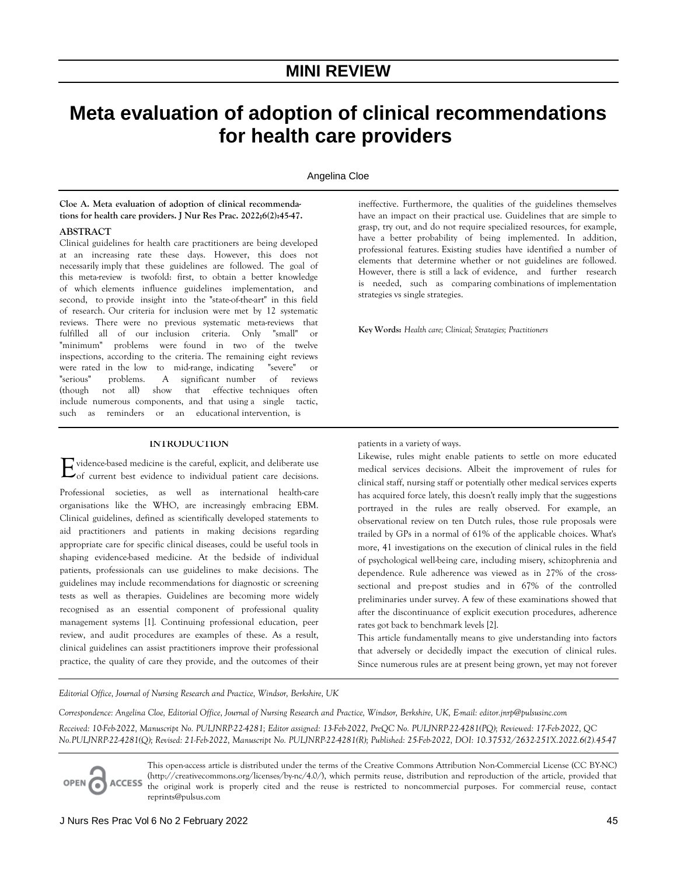# **MINI REVIEW**

# **Meta evaluation of adoption of clinical recommendations for health care providers**

Angelina Cloe

**Cloe A. Meta evaluation of adoption of clinical recommendations for health care providers. J Nur Res Prac. 2022;6(2):45-47.** 

## **ABSTRACT**

Clinical guidelines for health care practitioners are being developed at an increasing rate these days. However, this does not necessarily imply that these guidelines are followed. The goal of this meta-review is twofold: first, to obtain a better knowledge of which elements influence guidelines implementation, and second, to provide insight into the "state-of-the-art" in this field of research. Our criteria for inclusion were met by 12 systematic reviews. There were no previous systematic meta-reviews that fulfilled all of our inclusion criteria. Only "small" or "minimum" problems were found in two of the twelve inspections, according to the criteria. The remaining eight reviews were rated in the low to mid-range, indicating "severe" or "serious" problems. A significant number of reviews (though not all) show that effective techniques often include numerous components, and that using a single tactic, such as reminders or an educational intervention, is

#### **INTRODUCTION**

vidence-based medicine is the careful, explicit, and deliberate use  $E_{\rm of}$  vidence-based medicine is the careful, explicit, and deliberate use  $E_{\rm of}$  current best evidence to individual patient care decisions. Professional societies, as well as international health-care organisations like the WHO, are increasingly embracing EBM. Clinical guidelines, defined as scientifically developed statements to aid practitioners and patients in making decisions regarding appropriate care for specific clinical diseases, could be useful tools in shaping evidence-based medicine. At the bedside of individual patients, professionals can use guidelines to make decisions. The guidelines may include recommendations for diagnostic or screening tests as well as therapies. Guidelines are becoming more widely recognised as an essential component of professional quality management systems [1]. Continuing professional education, peer review, and audit procedures are examples of these. As a result, clinical guidelines can assist practitioners improve their professional practice, the quality of care they provide, and the outcomes of their

ineffective. Furthermore, the qualities of the guidelines themselves have an impact on their practical use. Guidelines that are simple to grasp, try out, and do not require specialized resources, for example, have a better probability of being implemented. In addition, professional features. Existing studies have identified a number of elements that determine whether or not guidelines are followed. However, there is still a lack of evidence, and further research is needed, such as comparing combinations of implementation strategies vs single strategies.

**Key Words:** *Health care; Clinical; Strategies; Practitioners*

patients in a variety of ways.

Likewise, rules might enable patients to settle on more educated medical services decisions. Albeit the improvement of rules for clinical staff, nursing staff or potentially other medical services experts has acquired force lately, this doesn't really imply that the suggestions portrayed in the rules are really observed. For example, an observational review on ten Dutch rules, those rule proposals were trailed by GPs in a normal of 61% of the applicable choices. What's more, 41 investigations on the execution of clinical rules in the field of psychological well-being care, including misery, schizophrenia and dependence. Rule adherence was viewed as in 27% of the crosssectional and pre-post studies and in 67% of the controlled preliminaries under survey. A few of these examinations showed that after the discontinuance of explicit execution procedures, adherence rates got back to benchmark levels [2].

This article fundamentally means to give understanding into factors that adversely or decidedly impact the execution of clinical rules. Since numerous rules are at present being grown, yet may not forever

*Editorial Office, Journal of Nursing Research and Practice, Windsor, Berkshire, UK* 

*Correspondence: Angelina Cloe, Editorial Office, Journal of Nursing Research and Practice, Windsor, Berkshire, UK, E-mail: editor.jnrp@pulsusinc.com Received: 10-Feb-2022, Manuscript No. PULJNRP-22-4281; Editor assigned: 13-Feb-2022, PreQC No. PULJNRP-22-4281(PQ); Reviewed: 17-Feb-2022, QC No.PULJNRP-22-4281(Q); Revised: 21-Feb-2022, Manuscript No. PULJNRP-22-4281(R); Published: 25-Feb-2022, DOI: 10.37532/2632-251X.2022.6(2).45-47* 

**ACCESS** OPEN C

This open-access article is distributed under the terms of the Creative Commons Attribution Non-Commercial License (CC BY-NC) (http://creativecommons.org/licenses/by-nc/4.0/), which permits reuse, distribution and reproduction of the article, provided that the original work is properly cited and the reuse is restricted to noncommercial purposes. For commercial reuse, contact reprints@pulsus.com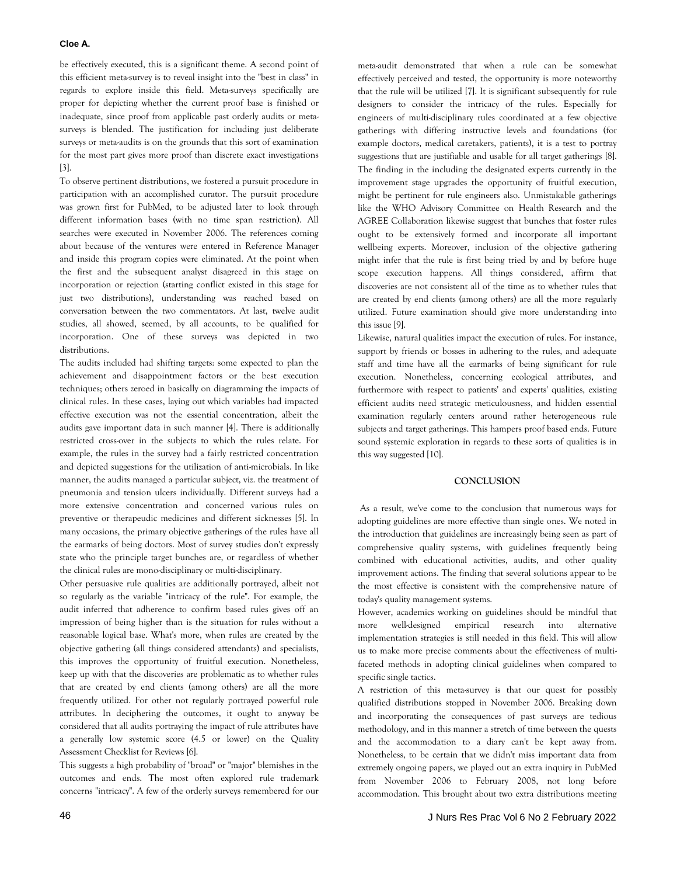#### **Cloe A.**

be effectively executed, this is a significant theme. A second point of this efficient meta-survey is to reveal insight into the "best in class" in regards to explore inside this field. Meta-surveys specifically are proper for depicting whether the current proof base is finished or inadequate, since proof from applicable past orderly audits or metasurveys is blended. The justification for including just deliberate surveys or meta-audits is on the grounds that this sort of examination for the most part gives more proof than discrete exact investigations [3].

To observe pertinent distributions, we fostered a pursuit procedure in participation with an accomplished curator. The pursuit procedure was grown first for PubMed, to be adjusted later to look through different information bases (with no time span restriction). All searches were executed in November 2006. The references coming about because of the ventures were entered in Reference Manager and inside this program copies were eliminated. At the point when the first and the subsequent analyst disagreed in this stage on incorporation or rejection (starting conflict existed in this stage for just two distributions), understanding was reached based on conversation between the two commentators. At last, twelve audit studies, all showed, seemed, by all accounts, to be qualified for incorporation. One of these surveys was depicted in two distributions.

The audits included had shifting targets: some expected to plan the achievement and disappointment factors or the best execution techniques; others zeroed in basically on diagramming the impacts of clinical rules. In these cases, laying out which variables had impacted effective execution was not the essential concentration, albeit the audits gave important data in such manner [4]. There is additionally restricted cross-over in the subjects to which the rules relate. For example, the rules in the survey had a fairly restricted concentration and depicted suggestions for the utilization of anti-microbials. In like manner, the audits managed a particular subject, viz. the treatment of pneumonia and tension ulcers individually. Different surveys had a more extensive concentration and concerned various rules on preventive or therapeudic medicines and different sicknesses [5]. In many occasions, the primary objective gatherings of the rules have all the earmarks of being doctors. Most of survey studies don't expressly state who the principle target bunches are, or regardless of whether the clinical rules are mono-disciplinary or multi-disciplinary.

Other persuasive rule qualities are additionally portrayed, albeit not so regularly as the variable "intricacy of the rule". For example, the audit inferred that adherence to confirm based rules gives off an impression of being higher than is the situation for rules without a reasonable logical base. What's more, when rules are created by the objective gathering (all things considered attendants) and specialists, this improves the opportunity of fruitful execution. Nonetheless, keep up with that the discoveries are problematic as to whether rules that are created by end clients (among others) are all the more frequently utilized. For other not regularly portrayed powerful rule attributes. In deciphering the outcomes, it ought to anyway be considered that all audits portraying the impact of rule attributes have a generally low systemic score (4.5 or lower) on the Quality Assessment Checklist for Reviews [6].

This suggests a high probability of "broad" or "major" blemishes in the outcomes and ends. The most often explored rule trademark concerns "intricacy". A few of the orderly surveys remembered for our

meta-audit demonstrated that when a rule can be somewhat effectively perceived and tested, the opportunity is more noteworthy that the rule will be utilized [7]. It is significant subsequently for rule designers to consider the intricacy of the rules. Especially for engineers of multi-disciplinary rules coordinated at a few objective gatherings with differing instructive levels and foundations (for example doctors, medical caretakers, patients), it is a test to portray suggestions that are justifiable and usable for all target gatherings [8]. The finding in the including the designated experts currently in the improvement stage upgrades the opportunity of fruitful execution, might be pertinent for rule engineers also. Unmistakable gatherings like the WHO Advisory Committee on Health Research and the AGREE Collaboration likewise suggest that bunches that foster rules ought to be extensively formed and incorporate all important wellbeing experts. Moreover, inclusion of the objective gathering might infer that the rule is first being tried by and by before huge scope execution happens. All things considered, affirm that discoveries are not consistent all of the time as to whether rules that are created by end clients (among others) are all the more regularly utilized. Future examination should give more understanding into this issue [9].

Likewise, natural qualities impact the execution of rules. For instance, support by friends or bosses in adhering to the rules, and adequate staff and time have all the earmarks of being significant for rule execution. Nonetheless, concerning ecological attributes, and furthermore with respect to patients' and experts' qualities, existing efficient audits need strategic meticulousness, and hidden essential examination regularly centers around rather heterogeneous rule subjects and target gatherings. This hampers proof based ends. Future sound systemic exploration in regards to these sorts of qualities is in this way suggested [10].

#### **CONCLUSION**

 As a result, we've come to the conclusion that numerous ways for adopting guidelines are more effective than single ones. We noted in the introduction that guidelines are increasingly being seen as part of comprehensive quality systems, with guidelines frequently being combined with educational activities, audits, and other quality improvement actions. The finding that several solutions appear to be the most effective is consistent with the comprehensive nature of today's quality management systems.

However, academics working on guidelines should be mindful that more well-designed empirical research into alternative implementation strategies is still needed in this field. This will allow us to make more precise comments about the effectiveness of multifaceted methods in adopting clinical guidelines when compared to specific single tactics.

A restriction of this meta-survey is that our quest for possibly qualified distributions stopped in November 2006. Breaking down and incorporating the consequences of past surveys are tedious methodology, and in this manner a stretch of time between the quests and the accommodation to a diary can't be kept away from. Nonetheless, to be certain that we didn't miss important data from extremely ongoing papers, we played out an extra inquiry in PubMed from November 2006 to February 2008, not long before accommodation. This brought about two extra distributions meeting